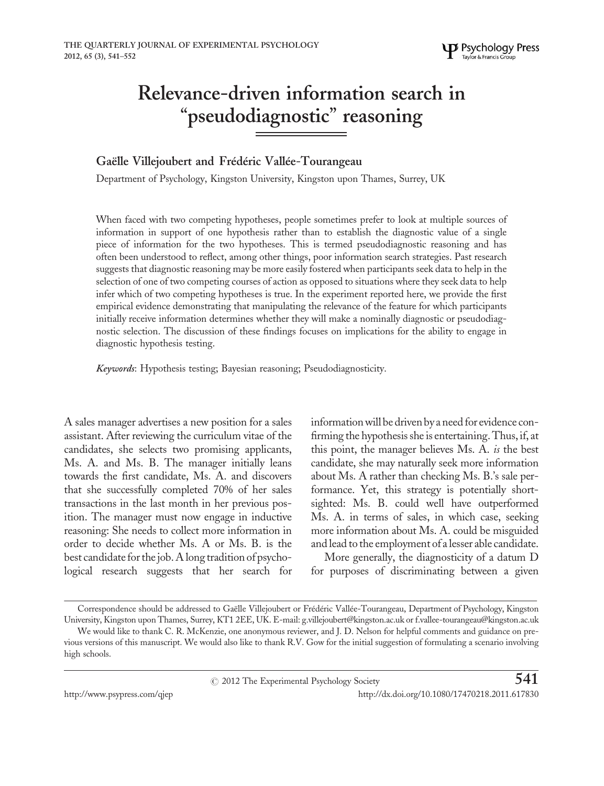# Relevance-driven information search in "pseudodiagnostic" reasoning

## Gaëlle Villejoubert and Frédéric Vallée-Tourangeau

Department of Psychology, Kingston University, Kingston upon Thames, Surrey, UK

When faced with two competing hypotheses, people sometimes prefer to look at multiple sources of information in support of one hypothesis rather than to establish the diagnostic value of a single piece of information for the two hypotheses. This is termed pseudodiagnostic reasoning and has often been understood to reflect, among other things, poor information search strategies. Past research suggests that diagnostic reasoning may be more easily fostered when participants seek data to help in the selection of one of two competing courses of action as opposed to situations where they seek data to help infer which of two competing hypotheses is true. In the experiment reported here, we provide the first empirical evidence demonstrating that manipulating the relevance of the feature for which participants initially receive information determines whether they will make a nominally diagnostic or pseudodiagnostic selection. The discussion of these findings focuses on implications for the ability to engage in diagnostic hypothesis testing.

Keywords: Hypothesis testing; Bayesian reasoning; Pseudodiagnosticity.

A sales manager advertises a new position for a sales assistant. After reviewing the curriculum vitae of the candidates, she selects two promising applicants, Ms. A. and Ms. B. The manager initially leans towards the first candidate, Ms. A. and discovers that she successfully completed 70% of her sales transactions in the last month in her previous position. The manager must now engage in inductive reasoning: She needs to collect more information in order to decide whether Ms. A or Ms. B. is the best candidate for the job. A long tradition of psychological research suggests that her search for information will be driven by a need for evidence confirming the hypothesis she is entertaining. Thus, if, at this point, the manager believes Ms. A. is the best candidate, she may naturally seek more information about Ms. A rather than checking Ms. B.'s sale performance. Yet, this strategy is potentially shortsighted: Ms. B. could well have outperformed Ms. A. in terms of sales, in which case, seeking more information about Ms. A. could be misguided and lead to the employment of a lesser able candidate.

More generally, the diagnosticity of a datum D for purposes of discriminating between a given

Correspondence should be addressed to Gaëlle Villejoubert or Frédéric Vallée-Tourangeau, Department of Psychology, Kingston University, Kingston upon Thames, Surrey, KT1 2EE, UK. E-mail: g.villejoubert@kingston.ac.uk or f.vallee-tourangeau@kingston.ac.uk

We would like to thank C. R. McKenzie, one anonymous reviewer, and J. D. Nelson for helpful comments and guidance on previous versions of this manuscript. We would also like to thank R.V. Gow for the initial suggestion of formulating a scenario involving high schools.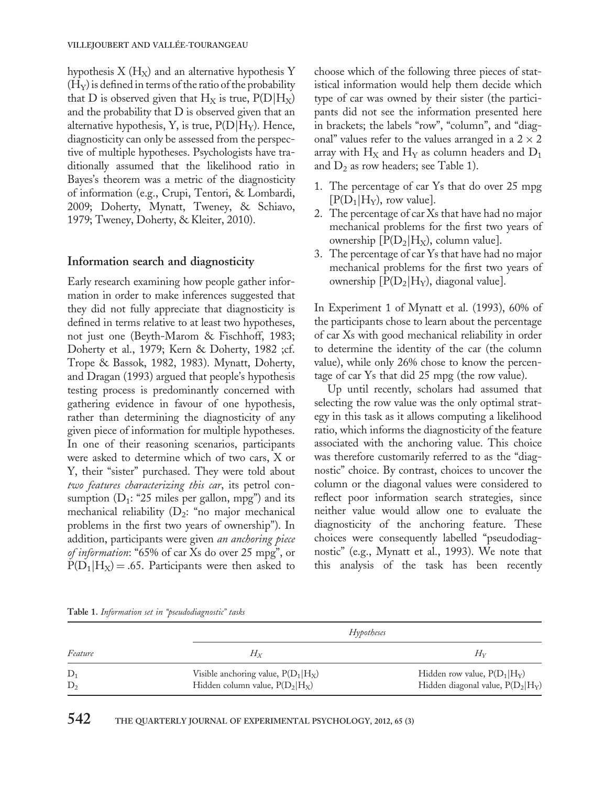hypothesis  $X(H_X)$  and an alternative hypothesis Y  $(H<sub>y</sub>)$  is defined in terms of the ratio of the probability that D is observed given that  $H_X$  is true,  $P(D|H_X)$ and the probability that D is observed given that an alternative hypothesis, Y, is true,  $P(D|H_Y)$ . Hence, diagnosticity can only be assessed from the perspective of multiple hypotheses. Psychologists have traditionally assumed that the likelihood ratio in Bayes's theorem was a metric of the diagnosticity of information (e.g., Crupi, Tentori, & Lombardi, 2009; Doherty, Mynatt, Tweney, & Schiavo, 1979; Tweney, Doherty, & Kleiter, 2010).

## Information search and diagnosticity

Early research examining how people gather information in order to make inferences suggested that they did not fully appreciate that diagnosticity is defined in terms relative to at least two hypotheses, not just one (Beyth-Marom & Fischhoff, 1983; Doherty et al., 1979; Kern & Doherty, 1982 ;cf. Trope & Bassok, 1982, 1983). Mynatt, Doherty, and Dragan (1993) argued that people's hypothesis testing process is predominantly concerned with gathering evidence in favour of one hypothesis, rather than determining the diagnosticity of any given piece of information for multiple hypotheses. In one of their reasoning scenarios, participants were asked to determine which of two cars, X or Y, their "sister" purchased. They were told about two features characterizing this car, its petrol consumption  $(D_1: 25$  miles per gallon, mpg") and its mechanical reliability  $(D_2:$  "no major mechanical problems in the first two years of ownership"). In addition, participants were given an anchoring piece of information: "65% of car Xs do over 25 mpg", or  $P(D_1|H_X) = .65$ . Participants were then asked to

choose which of the following three pieces of statistical information would help them decide which type of car was owned by their sister (the participants did not see the information presented here in brackets; the labels "row", "column", and "diagonal" values refer to the values arranged in a  $2 \times 2$ array with  $H_X$  and  $H_Y$  as column headers and  $D_1$ and  $D_2$  as row headers; see Table 1).

- 1. The percentage of car Ys that do over 25 mpg  $[P(D_1|H_Y),$  row value].
- 2. The percentage of car Xs that have had no major mechanical problems for the first two years of ownership  $[P(D_2|H_X),$  column value].
- 3. The percentage of car Ys that have had no major mechanical problems for the first two years of ownership  $[P(D_2|H_Y)]$ , diagonal value].

In Experiment 1 of Mynatt et al. (1993), 60% of the participants chose to learn about the percentage of car Xs with good mechanical reliability in order to determine the identity of the car (the column value), while only 26% chose to know the percentage of car Ys that did 25 mpg (the row value).

Up until recently, scholars had assumed that selecting the row value was the only optimal strategy in this task as it allows computing a likelihood ratio, which informs the diagnosticity of the feature associated with the anchoring value. This choice was therefore customarily referred to as the "diagnostic" choice. By contrast, choices to uncover the column or the diagonal values were considered to reflect poor information search strategies, since neither value would allow one to evaluate the diagnosticity of the anchoring feature. These choices were consequently labelled "pseudodiagnostic" (e.g., Mynatt et al., 1993). We note that this analysis of the task has been recently

| Feature        | Hypotheses                                                                 |                                                                       |  |
|----------------|----------------------------------------------------------------------------|-----------------------------------------------------------------------|--|
|                | $H_X$                                                                      | $H_{\rm V}$                                                           |  |
| $D_1$<br>$D_2$ | Visible anchoring value, $P(D_1 H_X)$<br>Hidden column value, $P(D_2 H_X)$ | Hidden row value, $P(D_1 H_V)$<br>Hidden diagonal value, $P(D_2 H_Y)$ |  |
|                |                                                                            |                                                                       |  |

Table 1. Information set in "pseudodiagnostic" tasks

# 542 THE QUARTERLY JOURNAL OF EXPERIMENTAL PSYCHOLOGY, 2012, 65 (3)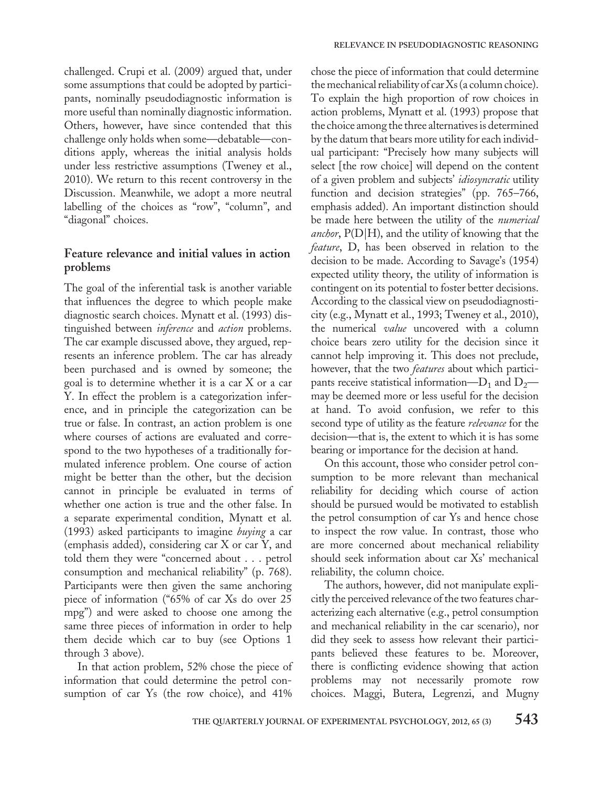challenged. Crupi et al. (2009) argued that, under some assumptions that could be adopted by participants, nominally pseudodiagnostic information is more useful than nominally diagnostic information. Others, however, have since contended that this challenge only holds when some—debatable—conditions apply, whereas the initial analysis holds under less restrictive assumptions (Tweney et al., 2010). We return to this recent controversy in the Discussion. Meanwhile, we adopt a more neutral labelling of the choices as "row", "column", and "diagonal" choices.

## Feature relevance and initial values in action problems

The goal of the inferential task is another variable that influences the degree to which people make diagnostic search choices. Mynatt et al. (1993) distinguished between inference and action problems. The car example discussed above, they argued, represents an inference problem. The car has already been purchased and is owned by someone; the goal is to determine whether it is a car X or a car Y. In effect the problem is a categorization inference, and in principle the categorization can be true or false. In contrast, an action problem is one where courses of actions are evaluated and correspond to the two hypotheses of a traditionally formulated inference problem. One course of action might be better than the other, but the decision cannot in principle be evaluated in terms of whether one action is true and the other false. In a separate experimental condition, Mynatt et al. (1993) asked participants to imagine buying a car (emphasis added), considering car X or car Y, and told them they were "concerned about . . . petrol consumption and mechanical reliability" (p. 768). Participants were then given the same anchoring piece of information ("65% of car Xs do over 25 mpg") and were asked to choose one among the same three pieces of information in order to help them decide which car to buy (see Options 1 through 3 above).

In that action problem, 52% chose the piece of information that could determine the petrol consumption of car Ys (the row choice), and 41%

chose the piece of information that could determine the mechanical reliability of car Xs (a column choice). To explain the high proportion of row choices in action problems, Mynatt et al. (1993) propose that the choice among the three alternatives is determined by the datum that bears more utility for each individual participant: "Precisely how many subjects will select [the row choice] will depend on the content of a given problem and subjects' idiosyncratic utility function and decision strategies" (pp. 765–766, emphasis added). An important distinction should be made here between the utility of the numerical *anchor*,  $P(D|H)$ , and the utility of knowing that the feature, D, has been observed in relation to the decision to be made. According to Savage's (1954) expected utility theory, the utility of information is contingent on its potential to foster better decisions. According to the classical view on pseudodiagnosticity (e.g., Mynatt et al., 1993; Tweney et al., 2010), the numerical *value* uncovered with a column choice bears zero utility for the decision since it cannot help improving it. This does not preclude, however, that the two *features* about which participants receive statistical information— $D_1$  and  $D_2$  may be deemed more or less useful for the decision at hand. To avoid confusion, we refer to this second type of utility as the feature *relevance* for the decision—that is, the extent to which it is has some bearing or importance for the decision at hand.

On this account, those who consider petrol consumption to be more relevant than mechanical reliability for deciding which course of action should be pursued would be motivated to establish the petrol consumption of car Ys and hence chose to inspect the row value. In contrast, those who are more concerned about mechanical reliability should seek information about car Xs' mechanical reliability, the column choice.

The authors, however, did not manipulate explicitly the perceived relevance of the two features characterizing each alternative (e.g., petrol consumption and mechanical reliability in the car scenario), nor did they seek to assess how relevant their participants believed these features to be. Moreover, there is conflicting evidence showing that action problems may not necessarily promote row choices. Maggi, Butera, Legrenzi, and Mugny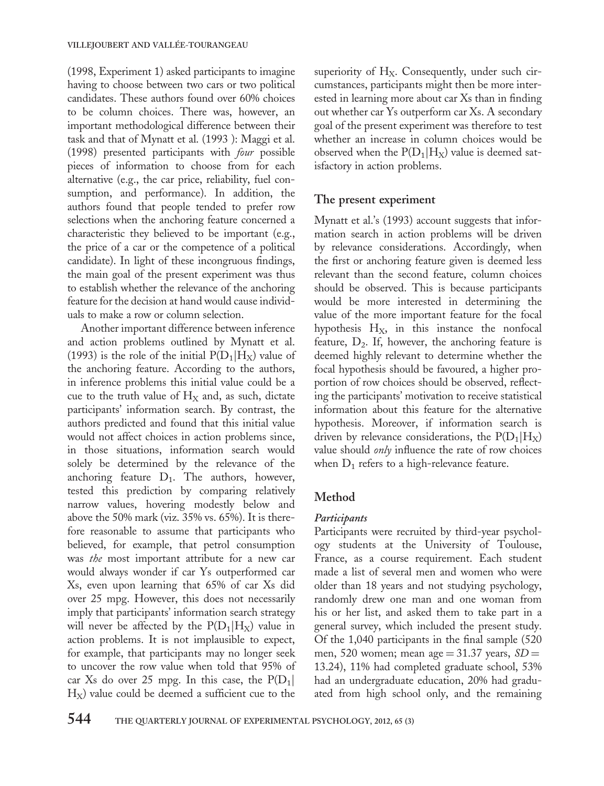(1998, Experiment 1) asked participants to imagine having to choose between two cars or two political candidates. These authors found over 60% choices to be column choices. There was, however, an important methodological difference between their task and that of Mynatt et al. (1993 ): Maggi et al. (1998) presented participants with four possible pieces of information to choose from for each alternative (e.g., the car price, reliability, fuel consumption, and performance). In addition, the authors found that people tended to prefer row selections when the anchoring feature concerned a characteristic they believed to be important (e.g., the price of a car or the competence of a political candidate). In light of these incongruous findings, the main goal of the present experiment was thus to establish whether the relevance of the anchoring feature for the decision at hand would cause individuals to make a row or column selection.

Another important difference between inference and action problems outlined by Mynatt et al. (1993) is the role of the initial  $P(D_1|H_X)$  value of the anchoring feature. According to the authors, in inference problems this initial value could be a cue to the truth value of  $H_X$  and, as such, dictate participants' information search. By contrast, the authors predicted and found that this initial value would not affect choices in action problems since, in those situations, information search would solely be determined by the relevance of the anchoring feature  $D_1$ . The authors, however, tested this prediction by comparing relatively narrow values, hovering modestly below and above the 50% mark (viz. 35% vs. 65%). It is therefore reasonable to assume that participants who believed, for example, that petrol consumption was the most important attribute for a new car would always wonder if car Ys outperformed car Xs, even upon learning that 65% of car Xs did over 25 mpg. However, this does not necessarily imply that participants' information search strategy will never be affected by the  $P(D_1|H_X)$  value in action problems. It is not implausible to expect, for example, that participants may no longer seek to uncover the row value when told that 95% of car Xs do over 25 mpg. In this case, the  $P(D_1)$  $H<sub>x</sub>$ ) value could be deemed a sufficient cue to the

superiority of  $H_X$ . Consequently, under such circumstances, participants might then be more interested in learning more about car Xs than in finding out whether car Ys outperform car Xs. A secondary goal of the present experiment was therefore to test whether an increase in column choices would be observed when the  $P(D_1|H_X)$  value is deemed satisfactory in action problems.

### The present experiment

Mynatt et al.'s (1993) account suggests that information search in action problems will be driven by relevance considerations. Accordingly, when the first or anchoring feature given is deemed less relevant than the second feature, column choices should be observed. This is because participants would be more interested in determining the value of the more important feature for the focal hypothesis  $H_X$ , in this instance the nonfocal feature,  $D_2$ . If, however, the anchoring feature is deemed highly relevant to determine whether the focal hypothesis should be favoured, a higher proportion of row choices should be observed, reflecting the participants' motivation to receive statistical information about this feature for the alternative hypothesis. Moreover, if information search is driven by relevance considerations, the  $P(D_1|H_X)$ value should only influence the rate of row choices when  $D_1$  refers to a high-relevance feature.

## Method

#### **Participants**

Participants were recruited by third-year psychology students at the University of Toulouse, France, as a course requirement. Each student made a list of several men and women who were older than 18 years and not studying psychology, randomly drew one man and one woman from his or her list, and asked them to take part in a general survey, which included the present study. Of the 1,040 participants in the final sample (520 men, 520 women; mean age = 31.37 years,  $SD =$ 13.24), 11% had completed graduate school, 53% had an undergraduate education, 20% had graduated from high school only, and the remaining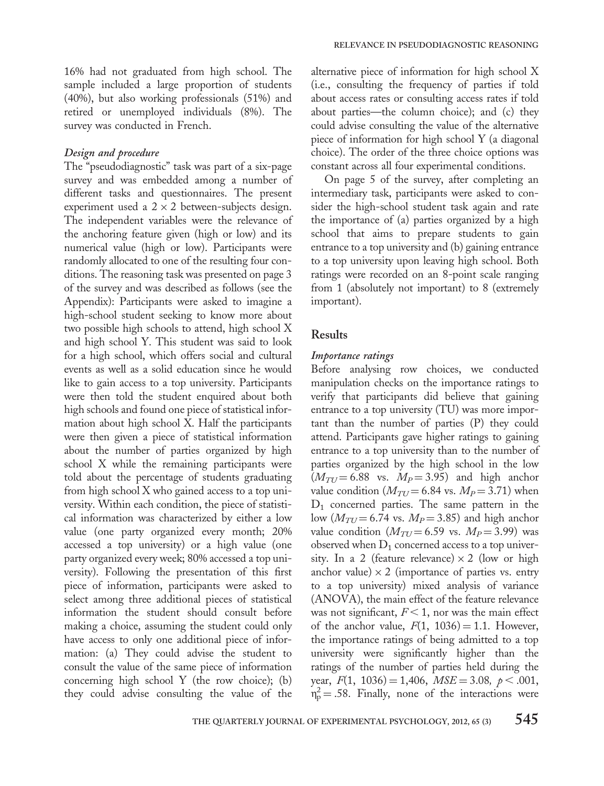16% had not graduated from high school. The sample included a large proportion of students (40%), but also working professionals (51%) and retired or unemployed individuals (8%). The survey was conducted in French.

#### Design and procedure

The "pseudodiagnostic" task was part of a six-page survey and was embedded among a number of different tasks and questionnaires. The present experiment used a  $2 \times 2$  between-subjects design. The independent variables were the relevance of the anchoring feature given (high or low) and its numerical value (high or low). Participants were randomly allocated to one of the resulting four conditions. The reasoning task was presented on page 3 of the survey and was described as follows (see the Appendix): Participants were asked to imagine a high-school student seeking to know more about two possible high schools to attend, high school X and high school Y. This student was said to look for a high school, which offers social and cultural events as well as a solid education since he would like to gain access to a top university. Participants were then told the student enquired about both high schools and found one piece of statistical information about high school X. Half the participants were then given a piece of statistical information about the number of parties organized by high school X while the remaining participants were told about the percentage of students graduating from high school X who gained access to a top university. Within each condition, the piece of statistical information was characterized by either a low value (one party organized every month; 20% accessed a top university) or a high value (one party organized every week; 80% accessed a top university). Following the presentation of this first piece of information, participants were asked to select among three additional pieces of statistical information the student should consult before making a choice, assuming the student could only have access to only one additional piece of information: (a) They could advise the student to consult the value of the same piece of information concerning high school Y (the row choice); (b) they could advise consulting the value of the

alternative piece of information for high school X (i.e., consulting the frequency of parties if told about access rates or consulting access rates if told about parties—the column choice); and (c) they could advise consulting the value of the alternative piece of information for high school Y (a diagonal choice). The order of the three choice options was constant across all four experimental conditions.

On page 5 of the survey, after completing an intermediary task, participants were asked to consider the high-school student task again and rate the importance of (a) parties organized by a high school that aims to prepare students to gain entrance to a top university and (b) gaining entrance to a top university upon leaving high school. Both ratings were recorded on an 8-point scale ranging from 1 (absolutely not important) to 8 (extremely important).

#### Results

#### Importance ratings

Before analysing row choices, we conducted manipulation checks on the importance ratings to verify that participants did believe that gaining entrance to a top university (TU) was more important than the number of parties (P) they could attend. Participants gave higher ratings to gaining entrance to a top university than to the number of parties organized by the high school in the low  $(M_{TI}=6.88$  vs.  $M_p=3.95)$  and high anchor value condition ( $M_{TU}$  = 6.84 vs.  $M_P$  = 3.71) when  $D_1$  concerned parties. The same pattern in the low  $(M_{TU} = 6.74$  vs.  $M_P = 3.85$ ) and high anchor value condition  $(M_{TU} = 6.59 \text{ vs. } M_P = 3.99)$  was observed when  $D_1$  concerned access to a top university. In a 2 (feature relevance)  $\times$  2 (low or high anchor value)  $\times$  2 (importance of parties vs. entry to a top university) mixed analysis of variance (ANOVA), the main effect of the feature relevance was not significant,  $F < 1$ , nor was the main effect of the anchor value,  $F(1, 1036) = 1.1$ . However, the importance ratings of being admitted to a top university were significantly higher than the ratings of the number of parties held during the year,  $F(1, 1036) = 1,406$ ,  $MSE = 3.08$ ,  $p < .001$ ,  $n_p^2 = .58$ . Finally, none of the interactions were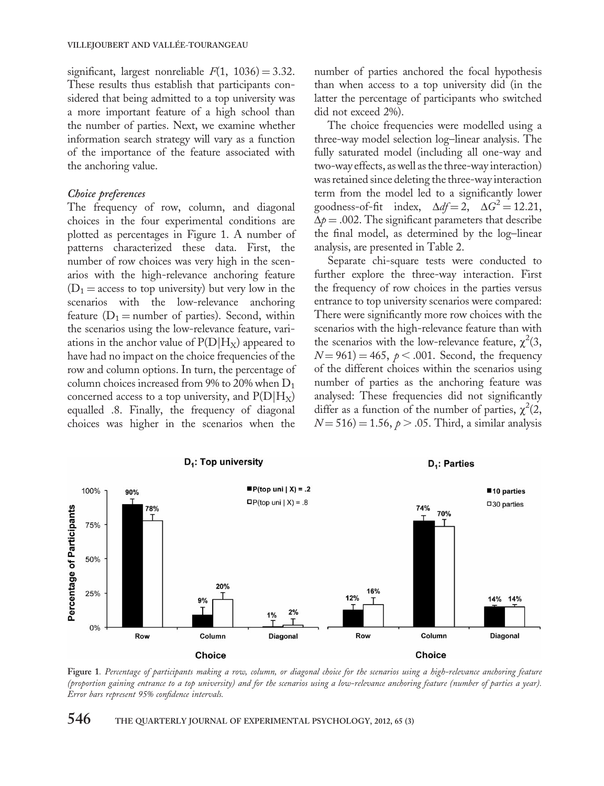significant, largest nonreliable  $F(1, 1036) = 3.32$ . These results thus establish that participants considered that being admitted to a top university was a more important feature of a high school than the number of parties. Next, we examine whether information search strategy will vary as a function of the importance of the feature associated with the anchoring value.

#### Choice preferences

The frequency of row, column, and diagonal choices in the four experimental conditions are plotted as percentages in Figure 1. A number of patterns characterized these data. First, the number of row choices was very high in the scenarios with the high-relevance anchoring feature  $(D_1 = \text{access to top university})$  but very low in the scenarios with the low-relevance anchoring feature ( $D_1$  = number of parties). Second, within the scenarios using the low-relevance feature, variations in the anchor value of  $P(D|H_X)$  appeared to have had no impact on the choice frequencies of the row and column options. In turn, the percentage of column choices increased from 9% to 20% when  $D_1$ concerned access to a top university, and  $P(D|H_X)$ equalled .8. Finally, the frequency of diagonal choices was higher in the scenarios when the number of parties anchored the focal hypothesis than when access to a top university did (in the latter the percentage of participants who switched did not exceed 2%).

The choice frequencies were modelled using a three-way model selection log–linear analysis. The fully saturated model (including all one-way and two-way effects, as well as the three-way interaction) was retained since deleting the three-way interaction term from the model led to a significantly lower goodness-of-fit index,  $\Delta df = 2$ ,  $\Delta G^2 = 12.21$ ,  $\Delta p = .002$ . The significant parameters that describe the final model, as determined by the log–linear analysis, are presented in Table 2.

Separate chi-square tests were conducted to further explore the three-way interaction. First the frequency of row choices in the parties versus entrance to top university scenarios were compared: There were significantly more row choices with the scenarios with the high-relevance feature than with the scenarios with the low-relevance feature,  $\chi^2(3,$  $N = 961$  = 465,  $p < .001$ . Second, the frequency of the different choices within the scenarios using number of parties as the anchoring feature was analysed: These frequencies did not significantly differ as a function of the number of parties,  $\chi^2(2,$  $N = 516$  = 1.56,  $p > .05$ . Third, a similar analysis



Figure 1. Percentage of participants making a row, column, or diagonal choice for the scenarios using a high-relevance anchoring feature (proportion gaining entrance to a top university) and for the scenarios using a low-relevance anchoring feature (number of parties a year). Error bars represent 95% confidence intervals.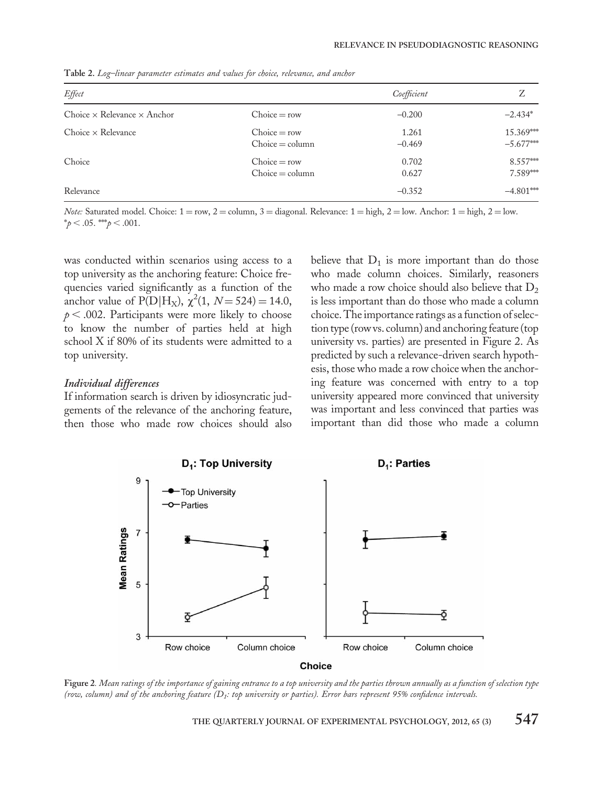| Effect                                    |                                     | Coefficient       | Z                                     |
|-------------------------------------------|-------------------------------------|-------------------|---------------------------------------|
| Choice $\times$ Relevance $\times$ Anchor | $Choice = row$                      | $-0.200$          | $-2.434*$                             |
| $Choice \times Release$                   | $Choice = row$<br>$Choice = column$ | 1.261<br>$-0.469$ | 15.369***<br>$-5.677$ <sup>****</sup> |
| Choice                                    | $Choice = row$<br>$Choice = column$ | 0.702<br>0.627    | 8.557***<br>7.589***                  |
| Relevance                                 |                                     | $-0.352$          | $-4.801***$                           |

Table 2. Log–linear parameter estimates and values for choice, relevance, and anchor

*Note:* Saturated model. Choice:  $1 = row$ ,  $2 = column$ ,  $3 = diagonal$ . Relevance:  $1 = high$ ,  $2 = low$ . Anchor:  $1 = high$ ,  $2 = low$ .  $*_{p} < .05.$  \*\*\*p  $< .001.$ 

was conducted within scenarios using access to a top university as the anchoring feature: Choice frequencies varied significantly as a function of the anchor value of  $P(D|H_X)$ ,  $\chi^2(1, N=524) = 14.0$ ,  $p < .002$ . Participants were more likely to choose to know the number of parties held at high school X if 80% of its students were admitted to a top university.

#### Individual differences

If information search is driven by idiosyncratic judgements of the relevance of the anchoring feature, then those who made row choices should also believe that  $D_1$  is more important than do those who made column choices. Similarly, reasoners who made a row choice should also believe that  $D_2$ is less important than do those who made a column choice. The importance ratings as a function of selection type (row vs. column) and anchoring feature (top university vs. parties) are presented in Figure 2. As predicted by such a relevance-driven search hypothesis, those who made a row choice when the anchoring feature was concerned with entry to a top university appeared more convinced that university was important and less convinced that parties was important than did those who made a column



Figure 2. Mean ratings of the importance of gaining entrance to a top university and the parties thrown annually as a function of selection type (row, column) and of the anchoring feature (D1: top university or parties). Error bars represent 95% confidence intervals.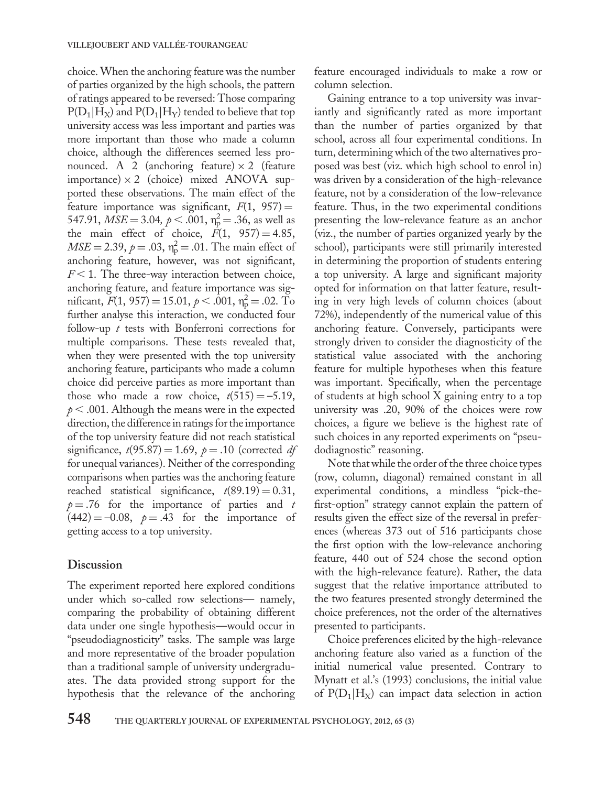choice. When the anchoring feature was the number of parties organized by the high schools, the pattern of ratings appeared to be reversed: Those comparing  $P(D_1|H_X)$  and  $P(D_1|H_Y)$  tended to believe that top university access was less important and parties was more important than those who made a column choice, although the differences seemed less pronounced. A 2 (anchoring feature)  $\times$  2 (feature importance)  $\times$  2 (choice) mixed ANOVA supported these observations. The main effect of the feature importance was significant,  $F(1, 957) =$ 547.91,  $\overline{MSE} = 3.04$ ,  $\rho < .001$ ,  $\eta_{\overline{p}}^2 = .36$ , as well as the main effect of choice,  $F(1, 957) = 4.85$ ,  $MSE = 2.39$ ,  $p = .03$ ,  $n_p^2 = .01$ . The main effect of anchoring feature, however, was not significant,  $F < 1$ . The three-way interaction between choice, anchoring feature, and feature importance was significant,  $F(1, 957) = 15.01, p < .001, \eta_{\rm p}^2 = .02$ . To further analyse this interaction, we conducted four follow-up t tests with Bonferroni corrections for multiple comparisons. These tests revealed that, when they were presented with the top university anchoring feature, participants who made a column choice did perceive parties as more important than those who made a row choice,  $t(515) = -5.19$ ,  $p < .001$ . Although the means were in the expected direction, the difference in ratings for the importance of the top university feature did not reach statistical significance,  $t(95.87) = 1.69$ ,  $p = .10$  (corrected df for unequal variances). Neither of the corresponding comparisons when parties was the anchoring feature reached statistical significance,  $t(89.19) = 0.31$ ,  $p = .76$  for the importance of parties and t  $(442) = -0.08$ ,  $p = .43$  for the importance of getting access to a top university.

#### Discussion

The experiment reported here explored conditions under which so-called row selections— namely, comparing the probability of obtaining different data under one single hypothesis—would occur in "pseudodiagnosticity" tasks. The sample was large and more representative of the broader population than a traditional sample of university undergraduates. The data provided strong support for the hypothesis that the relevance of the anchoring feature encouraged individuals to make a row or column selection.

Gaining entrance to a top university was invariantly and significantly rated as more important than the number of parties organized by that school, across all four experimental conditions. In turn, determining which of the two alternatives proposed was best (viz. which high school to enrol in) was driven by a consideration of the high-relevance feature, not by a consideration of the low-relevance feature. Thus, in the two experimental conditions presenting the low-relevance feature as an anchor (viz., the number of parties organized yearly by the school), participants were still primarily interested in determining the proportion of students entering a top university. A large and significant majority opted for information on that latter feature, resulting in very high levels of column choices (about 72%), independently of the numerical value of this anchoring feature. Conversely, participants were strongly driven to consider the diagnosticity of the statistical value associated with the anchoring feature for multiple hypotheses when this feature was important. Specifically, when the percentage of students at high school X gaining entry to a top university was .20, 90% of the choices were row choices, a figure we believe is the highest rate of such choices in any reported experiments on "pseudodiagnostic" reasoning.

Note that while the order of the three choice types (row, column, diagonal) remained constant in all experimental conditions, a mindless "pick-thefirst-option" strategy cannot explain the pattern of results given the effect size of the reversal in preferences (whereas 373 out of 516 participants chose the first option with the low-relevance anchoring feature, 440 out of 524 chose the second option with the high-relevance feature). Rather, the data suggest that the relative importance attributed to the two features presented strongly determined the choice preferences, not the order of the alternatives presented to participants.

Choice preferences elicited by the high-relevance anchoring feature also varied as a function of the initial numerical value presented. Contrary to Mynatt et al.'s (1993) conclusions, the initial value of  $P(D_1|H_X)$  can impact data selection in action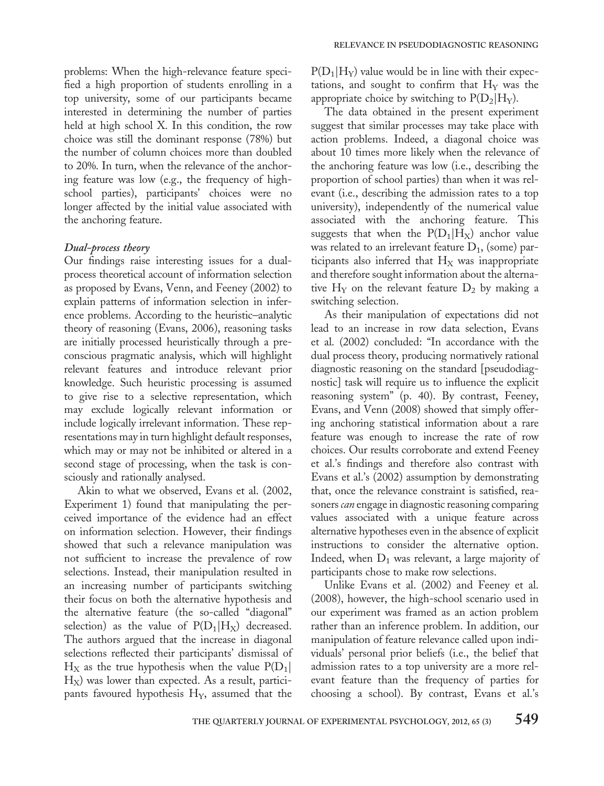problems: When the high-relevance feature specified a high proportion of students enrolling in a top university, some of our participants became interested in determining the number of parties held at high school X. In this condition, the row choice was still the dominant response (78%) but the number of column choices more than doubled to 20%. In turn, when the relevance of the anchoring feature was low (e.g., the frequency of highschool parties), participants' choices were no longer affected by the initial value associated with the anchoring feature.

#### Dual-process theory

Our findings raise interesting issues for a dualprocess theoretical account of information selection as proposed by Evans, Venn, and Feeney (2002) to explain patterns of information selection in inference problems. According to the heuristic–analytic theory of reasoning (Evans, 2006), reasoning tasks are initially processed heuristically through a preconscious pragmatic analysis, which will highlight relevant features and introduce relevant prior knowledge. Such heuristic processing is assumed to give rise to a selective representation, which may exclude logically relevant information or include logically irrelevant information. These representations may in turn highlight default responses, which may or may not be inhibited or altered in a second stage of processing, when the task is consciously and rationally analysed.

Akin to what we observed, Evans et al. (2002, Experiment 1) found that manipulating the perceived importance of the evidence had an effect on information selection. However, their findings showed that such a relevance manipulation was not sufficient to increase the prevalence of row selections. Instead, their manipulation resulted in an increasing number of participants switching their focus on both the alternative hypothesis and the alternative feature (the so-called "diagonal" selection) as the value of  $P(D_1|H_X)$  decreased. The authors argued that the increase in diagonal selections reflected their participants' dismissal of  $H_X$  as the true hypothesis when the value  $P(D_1)$  $H_X$ ) was lower than expected. As a result, participants favoured hypothesis H<sub>Y</sub>, assumed that the  $P(D_1|H_Y)$  value would be in line with their expectations, and sought to confirm that  $H<sub>Y</sub>$  was the appropriate choice by switching to  $P(D_2|H_Y)$ .

The data obtained in the present experiment suggest that similar processes may take place with action problems. Indeed, a diagonal choice was about 10 times more likely when the relevance of the anchoring feature was low (i.e., describing the proportion of school parties) than when it was relevant (i.e., describing the admission rates to a top university), independently of the numerical value associated with the anchoring feature. This suggests that when the  $P(D_1|H_X)$  anchor value was related to an irrelevant feature  $D_1$ , (some) participants also inferred that  $H_X$  was inappropriate and therefore sought information about the alternative  $H_Y$  on the relevant feature  $D_2$  by making a switching selection.

As their manipulation of expectations did not lead to an increase in row data selection, Evans et al. (2002) concluded: "In accordance with the dual process theory, producing normatively rational diagnostic reasoning on the standard [pseudodiagnostic] task will require us to influence the explicit reasoning system" (p. 40). By contrast, Feeney, Evans, and Venn (2008) showed that simply offering anchoring statistical information about a rare feature was enough to increase the rate of row choices. Our results corroborate and extend Feeney et al.'s findings and therefore also contrast with Evans et al.'s (2002) assumption by demonstrating that, once the relevance constraint is satisfied, reasoners *can* engage in diagnostic reasoning comparing values associated with a unique feature across alternative hypotheses even in the absence of explicit instructions to consider the alternative option. Indeed, when  $D_1$  was relevant, a large majority of participants chose to make row selections.

Unlike Evans et al. (2002) and Feeney et al. (2008), however, the high-school scenario used in our experiment was framed as an action problem rather than an inference problem. In addition, our manipulation of feature relevance called upon individuals' personal prior beliefs (i.e., the belief that admission rates to a top university are a more relevant feature than the frequency of parties for choosing a school). By contrast, Evans et al.'s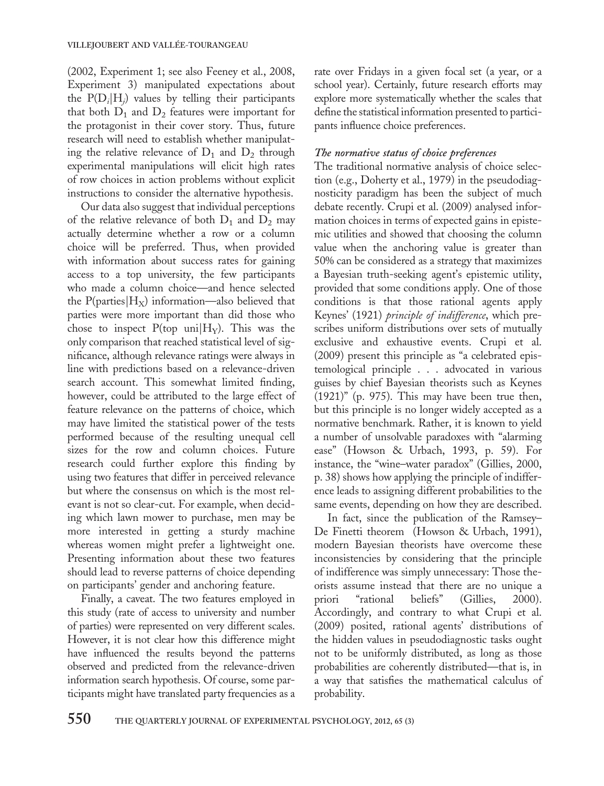(2002, Experiment 1; see also Feeney et al., 2008, Experiment 3) manipulated expectations about the  $P(D_i|H_i)$  values by telling their participants that both  $D_1$  and  $D_2$  features were important for the protagonist in their cover story. Thus, future research will need to establish whether manipulating the relative relevance of  $D_1$  and  $D_2$  through experimental manipulations will elicit high rates of row choices in action problems without explicit instructions to consider the alternative hypothesis.

Our data also suggest that individual perceptions of the relative relevance of both  $D_1$  and  $D_2$  may actually determine whether a row or a column choice will be preferred. Thus, when provided with information about success rates for gaining access to a top university, the few participants who made a column choice—and hence selected the P(parties $|H_X\rangle$  information—also believed that parties were more important than did those who chose to inspect  $P({top \text{uni}}|H_Y)$ . This was the only comparison that reached statistical level of significance, although relevance ratings were always in line with predictions based on a relevance-driven search account. This somewhat limited finding, however, could be attributed to the large effect of feature relevance on the patterns of choice, which may have limited the statistical power of the tests performed because of the resulting unequal cell sizes for the row and column choices. Future research could further explore this finding by using two features that differ in perceived relevance but where the consensus on which is the most relevant is not so clear-cut. For example, when deciding which lawn mower to purchase, men may be more interested in getting a sturdy machine whereas women might prefer a lightweight one. Presenting information about these two features should lead to reverse patterns of choice depending on participants' gender and anchoring feature.

Finally, a caveat. The two features employed in this study (rate of access to university and number of parties) were represented on very different scales. However, it is not clear how this difference might have influenced the results beyond the patterns observed and predicted from the relevance-driven information search hypothesis. Of course, some participants might have translated party frequencies as a

rate over Fridays in a given focal set (a year, or a school year). Certainly, future research efforts may explore more systematically whether the scales that define the statistical information presented to participants influence choice preferences.

#### The normative status of choice preferences

The traditional normative analysis of choice selection (e.g., Doherty et al., 1979) in the pseudodiagnosticity paradigm has been the subject of much debate recently. Crupi et al. (2009) analysed information choices in terms of expected gains in epistemic utilities and showed that choosing the column value when the anchoring value is greater than 50% can be considered as a strategy that maximizes a Bayesian truth-seeking agent's epistemic utility, provided that some conditions apply. One of those conditions is that those rational agents apply Keynes' (1921) principle of indifference, which prescribes uniform distributions over sets of mutually exclusive and exhaustive events. Crupi et al. (2009) present this principle as "a celebrated epistemological principle . . . advocated in various guises by chief Bayesian theorists such as Keynes (1921)" (p. 975). This may have been true then, but this principle is no longer widely accepted as a normative benchmark. Rather, it is known to yield a number of unsolvable paradoxes with "alarming ease" (Howson & Urbach, 1993, p. 59). For instance, the "wine–water paradox" (Gillies, 2000, p. 38) shows how applying the principle of indifference leads to assigning different probabilities to the same events, depending on how they are described.

In fact, since the publication of the Ramsey– De Finetti theorem (Howson & Urbach, 1991), modern Bayesian theorists have overcome these inconsistencies by considering that the principle of indifference was simply unnecessary: Those theorists assume instead that there are no unique a priori "rational beliefs" (Gillies, 2000). Accordingly, and contrary to what Crupi et al. (2009) posited, rational agents' distributions of the hidden values in pseudodiagnostic tasks ought not to be uniformly distributed, as long as those probabilities are coherently distributed—that is, in a way that satisfies the mathematical calculus of probability.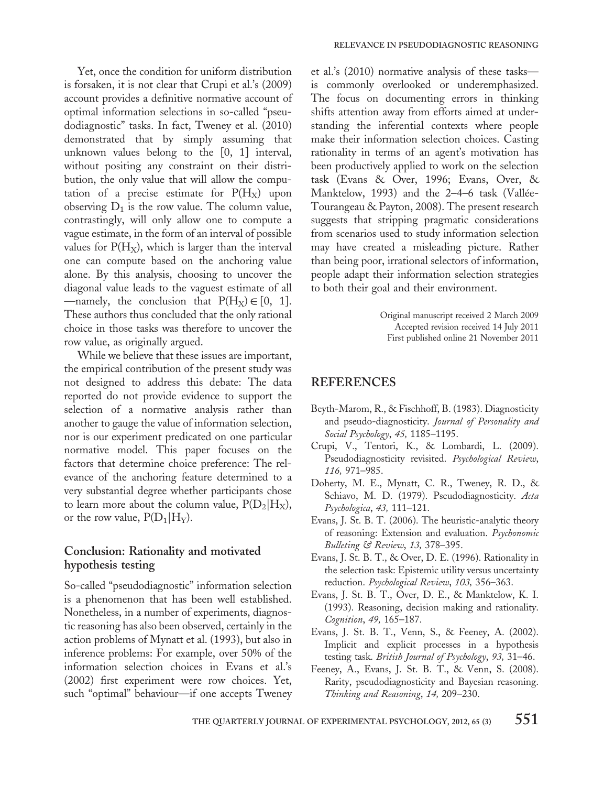Yet, once the condition for uniform distribution is forsaken, it is not clear that Crupi et al.'s (2009) account provides a definitive normative account of optimal information selections in so-called "pseudodiagnostic" tasks. In fact, Tweney et al. (2010) demonstrated that by simply assuming that unknown values belong to the [0, 1] interval, without positing any constraint on their distribution, the only value that will allow the computation of a precise estimate for  $P(H_X)$  upon observing  $D_1$  is the row value. The column value, contrastingly, will only allow one to compute a vague estimate, in the form of an interval of possible values for  $P(H_X)$ , which is larger than the interval one can compute based on the anchoring value alone. By this analysis, choosing to uncover the diagonal value leads to the vaguest estimate of all —namely, the conclusion that  $P(H_X) \in [0, 1]$ . These authors thus concluded that the only rational choice in those tasks was therefore to uncover the row value, as originally argued.

While we believe that these issues are important, the empirical contribution of the present study was not designed to address this debate: The data reported do not provide evidence to support the selection of a normative analysis rather than another to gauge the value of information selection, nor is our experiment predicated on one particular normative model. This paper focuses on the factors that determine choice preference: The relevance of the anchoring feature determined to a very substantial degree whether participants chose to learn more about the column value,  $P(D_2|H_X)$ , or the row value,  $P(D_1|H_Y)$ .

## Conclusion: Rationality and motivated hypothesis testing

So-called "pseudodiagnostic" information selection is a phenomenon that has been well established. Nonetheless, in a number of experiments, diagnostic reasoning has also been observed, certainly in the action problems of Mynatt et al. (1993), but also in inference problems: For example, over 50% of the information selection choices in Evans et al.'s (2002) first experiment were row choices. Yet, such "optimal" behaviour—if one accepts Tweney

et al.'s (2010) normative analysis of these tasks is commonly overlooked or underemphasized. The focus on documenting errors in thinking shifts attention away from efforts aimed at understanding the inferential contexts where people make their information selection choices. Casting rationality in terms of an agent's motivation has been productively applied to work on the selection task (Evans & Over, 1996; Evans, Over, & Manktelow, 1993) and the 2–4–6 task (Vallée-Tourangeau & Payton, 2008). The present research suggests that stripping pragmatic considerations from scenarios used to study information selection may have created a misleading picture. Rather than being poor, irrational selectors of information, people adapt their information selection strategies to both their goal and their environment.

> Original manuscript received 2 March 2009 Accepted revision received 14 July 2011 First published online 21 November 2011

## REFERENCES

- Beyth-Marom, R., & Fischhoff, B. (1983). Diagnosticity and pseudo-diagnosticity. Journal of Personality and Social Psychology, 45, 1185–1195.
- Crupi, V., Tentori, K., & Lombardi, L. (2009). Pseudodiagnosticity revisited. Psychological Review, 116, 971–985.
- Doherty, M. E., Mynatt, C. R., Tweney, R. D., & Schiavo, M. D. (1979). Pseudodiagnosticity. Acta Psychologica, 43, 111–121.
- Evans, J. St. B. T. (2006). The heuristic-analytic theory of reasoning: Extension and evaluation. Psychonomic Bulleting & Review, 13, 378–395.
- Evans, J. St. B. T., & Over, D. E. (1996). Rationality in the selection task: Epistemic utility versus uncertainty reduction. Psychological Review, 103, 356–363.
- Evans, J. St. B. T., Over, D. E., & Manktelow, K. I. (1993). Reasoning, decision making and rationality. Cognition, 49, 165–187.
- Evans, J. St. B. T., Venn, S., & Feeney, A. (2002). Implicit and explicit processes in a hypothesis testing task. British Journal of Psychology, 93, 31–46.
- Feeney, A., Evans, J. St. B. T., & Venn, S. (2008). Rarity, pseudodiagnosticity and Bayesian reasoning. Thinking and Reasoning, 14, 209–230.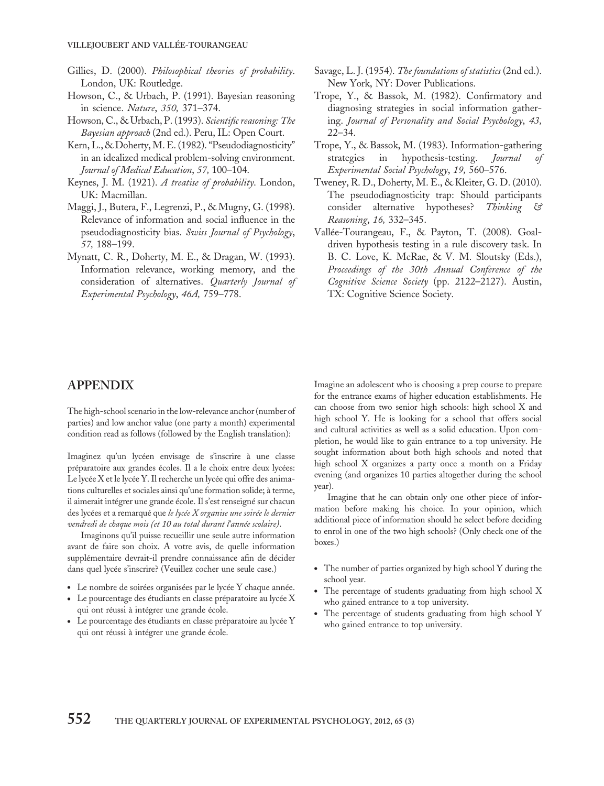- Gillies, D. (2000). Philosophical theories of probability. London, UK: Routledge.
- Howson, C., & Urbach, P. (1991). Bayesian reasoning in science. Nature, 350, 371–374.
- Howson, C., & Urbach, P. (1993). Scientific reasoning: The Bayesian approach (2nd ed.). Peru, IL: Open Court.
- Kern, L., & Doherty, M. E. (1982). "Pseudodiagnosticity" in an idealized medical problem-solving environment. Journal of Medical Education, 57, 100–104.
- Keynes, J. M. (1921). A treatise of probability. London, UK: Macmillan.
- Maggi, J., Butera, F., Legrenzi, P., & Mugny, G. (1998). Relevance of information and social influence in the pseudodiagnosticity bias. Swiss Journal of Psychology, 57, 188–199.
- Mynatt, C. R., Doherty, M. E., & Dragan, W. (1993). Information relevance, working memory, and the consideration of alternatives. Quarterly Journal of Experimental Psychology, 46A, 759–778.
- Savage, L. J. (1954). The foundations of statistics (2nd ed.). New York, NY: Dover Publications.
- Trope, Y., & Bassok, M. (1982). Confirmatory and diagnosing strategies in social information gathering. Journal of Personality and Social Psychology, 43, 22–34.
- Trope, Y., & Bassok, M. (1983). Information-gathering strategies in hypothesis-testing. Journal Experimental Social Psychology, 19, 560–576.
- Tweney, R. D., Doherty, M. E., & Kleiter, G. D. (2010). The pseudodiagnosticity trap: Should participants consider alternative hypotheses? Thinking & Reasoning, 16, 332–345.
- Vallée-Tourangeau, F., & Payton, T. (2008). Goaldriven hypothesis testing in a rule discovery task. In B. C. Love, K. McRae, & V. M. Sloutsky (Eds.), Proceedings of the 30th Annual Conference of the Cognitive Science Society (pp. 2122–2127). Austin, TX: Cognitive Science Society.

## APPENDIX

The high-school scenario in the low-relevance anchor (number of parties) and low anchor value (one party a month) experimental condition read as follows (followed by the English translation):

Imaginez qu'un lycéen envisage de s'inscrire à une classe préparatoire aux grandes écoles. Il a le choix entre deux lycées: Le lycée X et le lycée Y. Il recherche un lycée qui offre des animations culturelles et sociales ainsi qu'une formation solide; à terme, il aimerait intégrer une grande école. Il s'est renseigné sur chacun des lycées et a remarqué que le lycée X organise une soirée le dernier vendredi de chaque mois (et 10 au total durant l'année scolaire).

Imaginons qu'il puisse recueillir une seule autre information avant de faire son choix. A votre avis, de quelle information supplémentaire devrait-il prendre connaissance afin de décider dans quel lycée s'inscrire? (Veuillez cocher une seule case.)

- . Le nombre de soirées organisées par le lycée Y chaque année.
- . Le pourcentage des étudiants en classe préparatoire au lycée X qui ont réussi à intégrer une grande école.
- . Le pourcentage des étudiants en classe préparatoire au lycée Y qui ont réussi à intégrer une grande école.

Imagine an adolescent who is choosing a prep course to prepare for the entrance exams of higher education establishments. He can choose from two senior high schools: high school X and high school Y. He is looking for a school that offers social and cultural activities as well as a solid education. Upon completion, he would like to gain entrance to a top university. He sought information about both high schools and noted that high school X organizes a party once a month on a Friday evening (and organizes 10 parties altogether during the school year).

Imagine that he can obtain only one other piece of information before making his choice. In your opinion, which additional piece of information should he select before deciding to enrol in one of the two high schools? (Only check one of the boxes.)

- . The number of parties organized by high school Y during the school year.
- . The percentage of students graduating from high school X who gained entrance to a top university.
- . The percentage of students graduating from high school Y who gained entrance to top university.